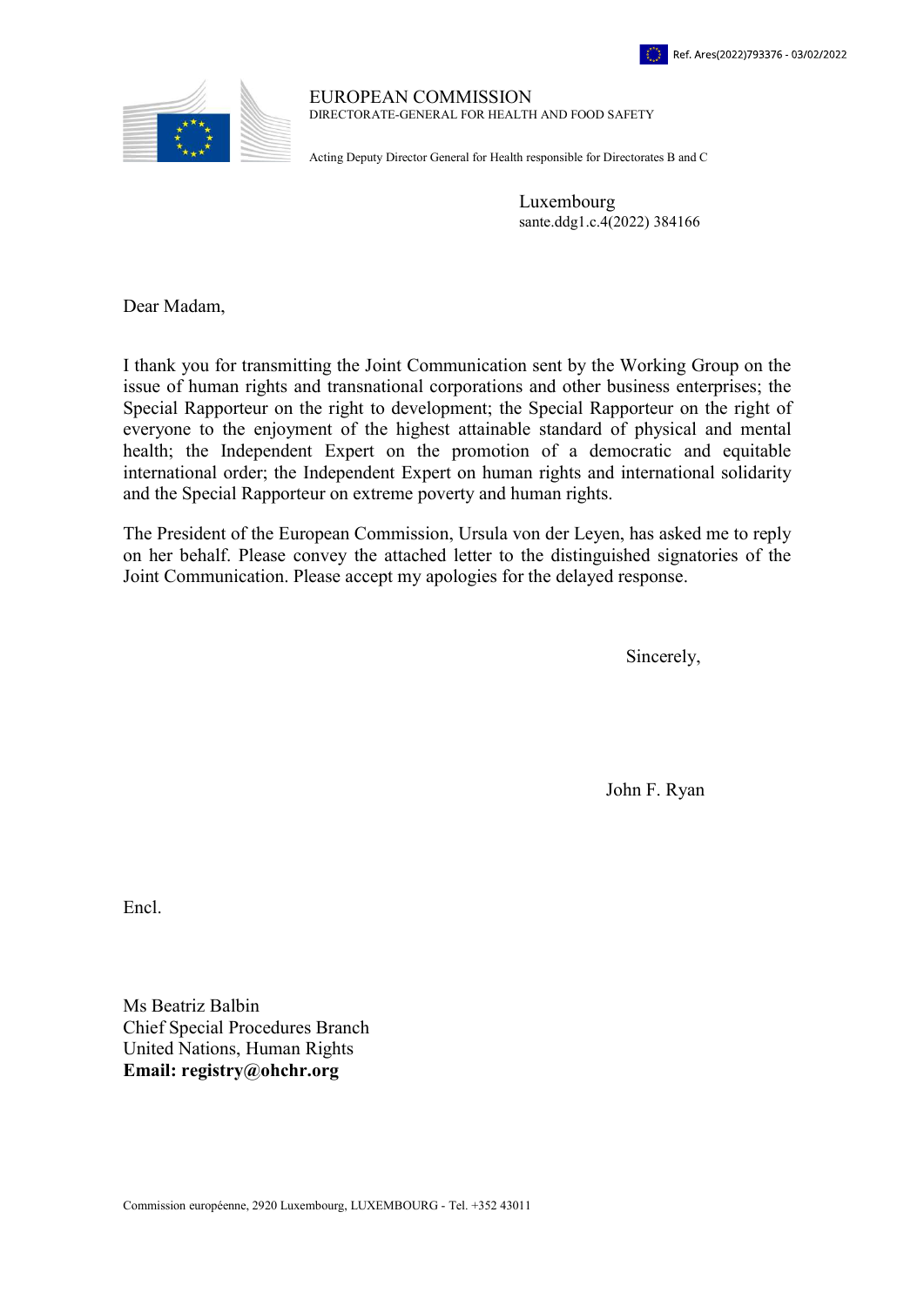

EUROPEAN COMMISSION DIRECTORATE-GENERAL FOR HEALTH AND FOOD SAFETY

Acting Deputy Director General for Health responsible for Directorates B and C

Luxembourg sante.ddg1.c.4(2022) 384166

Dear Madam,

I thank you for transmitting the Joint Communication sent by the Working Group on the issue of human rights and transnational corporations and other business enterprises; the Special Rapporteur on the right to development; the Special Rapporteur on the right of everyone to the enjoyment of the highest attainable standard of physical and mental health; the Independent Expert on the promotion of a democratic and equitable international order; the Independent Expert on human rights and international solidarity and the Special Rapporteur on extreme poverty and human rights.

The President of the European Commission, Ursula von der Leyen, has asked me to reply on her behalf. Please convey the attached letter to the distinguished signatories of the Joint Communication. Please accept my apologies for the delayed response.

Sincerely,

John F. Ryan

Encl.

Ms Beatriz Balbin Chief Special Procedures Branch United Nations, Human Rights Email: registry@ohchr.org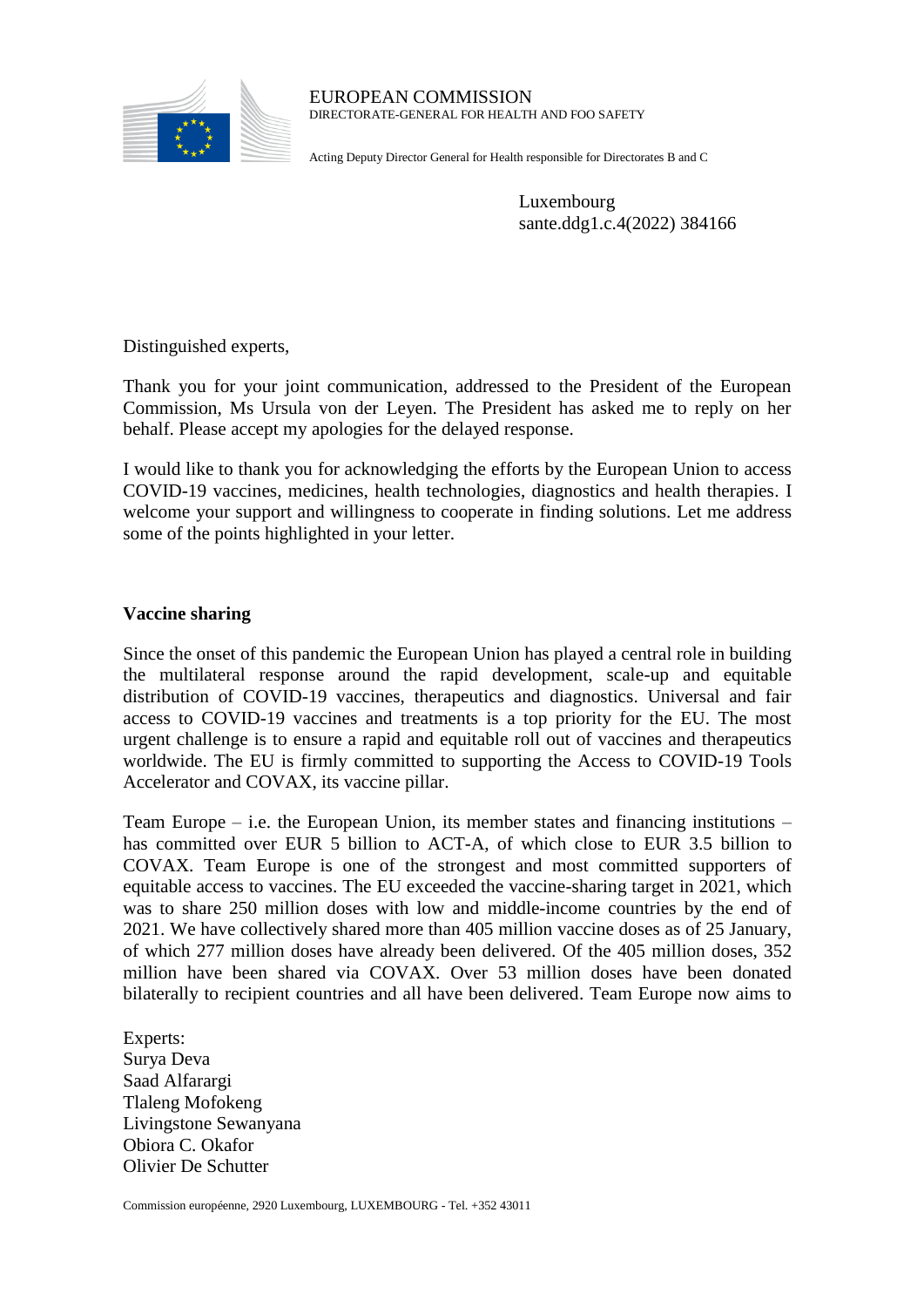

EUROPEAN COMMISSION DIRECTORATE-GENERAL FOR HEALTH AND FOO SAFETY

Acting Deputy Director General for Health responsible for Directorates B and C

Luxembourg sante.ddg1.c.4(2022) 384166

Distinguished experts,

Thank you for your joint communication, addressed to the President of the European Commission, Ms Ursula von der Leyen. The President has asked me to reply on her behalf. Please accept my apologies for the delayed response.

I would like to thank you for acknowledging the efforts by the European Union to access COVID-19 vaccines, medicines, health technologies, diagnostics and health therapies. I welcome your support and willingness to cooperate in finding solutions. Let me address some of the points highlighted in your letter.

# **Vaccine sharing**

Since the onset of this pandemic the European Union has played a central role in building the multilateral response around the rapid development, scale-up and equitable distribution of COVID-19 vaccines, therapeutics and diagnostics. Universal and fair access to COVID-19 vaccines and treatments is a top priority for the EU. The most urgent challenge is to ensure a rapid and equitable roll out of vaccines and therapeutics worldwide. The EU is firmly committed to supporting the Access to COVID-19 Tools Accelerator and COVAX, its vaccine pillar.

Team Europe – i.e. the European Union, its member states and financing institutions – has committed over EUR 5 billion to ACT-A, of which close to EUR 3.5 billion to COVAX. Team Europe is one of the strongest and most committed supporters of equitable access to vaccines. The EU exceeded the vaccine-sharing target in 2021, which was to share 250 million doses with low and middle-income countries by the end of 2021. We have collectively shared more than 405 million vaccine doses as of 25 January, of which 277 million doses have already been delivered. Of the 405 million doses, 352 million have been shared via COVAX. Over 53 million doses have been donated bilaterally to recipient countries and all have been delivered. Team Europe now aims to

Experts: Surya Deva Saad Alfarargi Tlaleng Mofokeng Livingstone Sewanyana Obiora C. Okafor Olivier De Schutter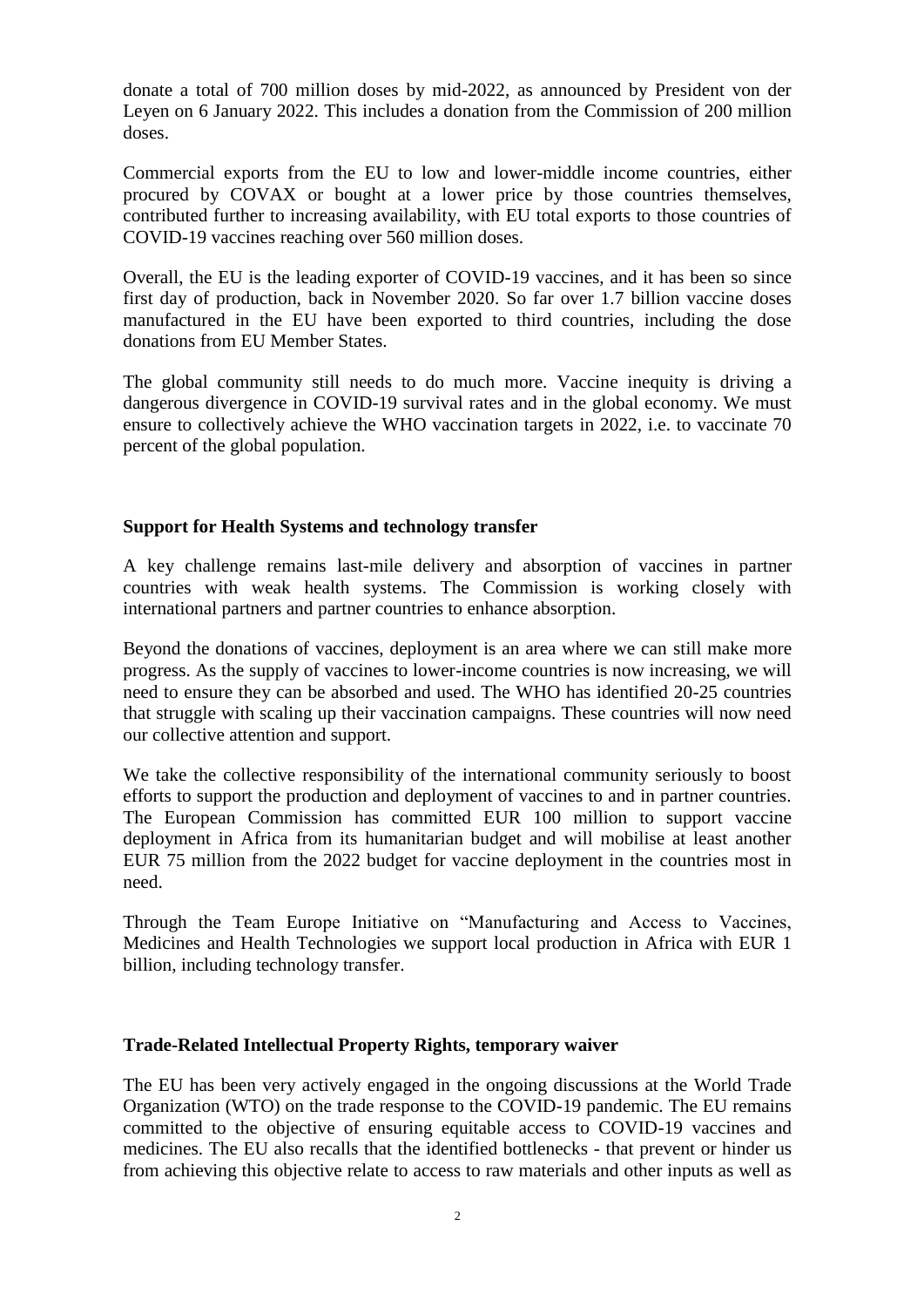donate a total of 700 million doses by mid-2022, as announced by President von der Leyen on 6 January 2022. This includes a donation from the Commission of 200 million doses.

Commercial exports from the EU to low and lower-middle income countries, either procured by COVAX or bought at a lower price by those countries themselves, contributed further to increasing availability, with EU total exports to those countries of COVID-19 vaccines reaching over 560 million doses.

Overall, the EU is the leading exporter of COVID-19 vaccines, and it has been so since first day of production, back in November 2020. So far over 1.7 billion vaccine doses manufactured in the EU have been exported to third countries, including the dose donations from EU Member States.

The global community still needs to do much more. Vaccine inequity is driving a dangerous divergence in COVID-19 survival rates and in the global economy. We must ensure to collectively achieve the WHO vaccination targets in 2022, i.e. to vaccinate 70 percent of the global population.

## **Support for Health Systems and technology transfer**

A key challenge remains last-mile delivery and absorption of vaccines in partner countries with weak health systems. The Commission is working closely with international partners and partner countries to enhance absorption.

Beyond the donations of vaccines, deployment is an area where we can still make more progress. As the supply of vaccines to lower-income countries is now increasing, we will need to ensure they can be absorbed and used. The WHO has identified 20-25 countries that struggle with scaling up their vaccination campaigns. These countries will now need our collective attention and support.

We take the collective responsibility of the international community seriously to boost efforts to support the production and deployment of vaccines to and in partner countries. The European Commission has committed EUR 100 million to support vaccine deployment in Africa from its humanitarian budget and will mobilise at least another EUR 75 million from the 2022 budget for vaccine deployment in the countries most in need.

Through the Team Europe Initiative on "Manufacturing and Access to Vaccines, Medicines and Health Technologies we support local production in Africa with EUR 1 billion, including technology transfer.

## **Trade-Related Intellectual Property Rights, temporary waiver**

The EU has been very actively engaged in the ongoing discussions at the World Trade Organization (WTO) on the trade response to the COVID-19 pandemic. The EU remains committed to the objective of ensuring equitable access to COVID-19 vaccines and medicines. The EU also recalls that the identified bottlenecks - that prevent or hinder us from achieving this objective relate to access to raw materials and other inputs as well as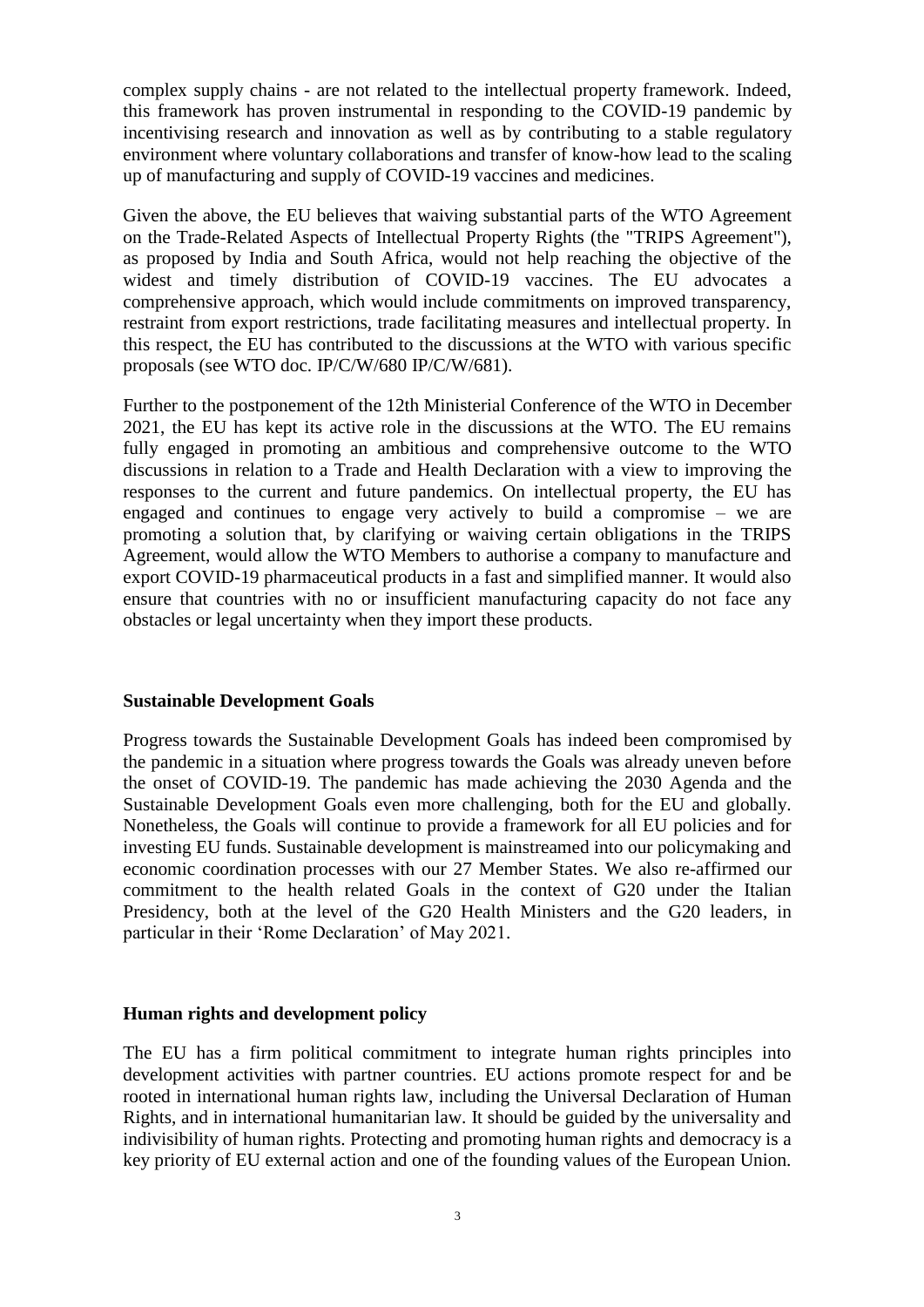complex supply chains - are not related to the intellectual property framework. Indeed, this framework has proven instrumental in responding to the COVID-19 pandemic by incentivising research and innovation as well as by contributing to a stable regulatory environment where voluntary collaborations and transfer of know-how lead to the scaling up of manufacturing and supply of COVID-19 vaccines and medicines.

Given the above, the EU believes that waiving substantial parts of the WTO Agreement on the Trade-Related Aspects of Intellectual Property Rights (the "TRIPS Agreement"), as proposed by India and South Africa, would not help reaching the objective of the widest and timely distribution of COVID-19 vaccines. The EU advocates a comprehensive approach, which would include commitments on improved transparency, restraint from export restrictions, trade facilitating measures and intellectual property. In this respect, the EU has contributed to the discussions at the WTO with various specific proposals (see WTO doc. IP/C/W/680 IP/C/W/681).

Further to the postponement of the 12th Ministerial Conference of the WTO in December 2021, the EU has kept its active role in the discussions at the WTO. The EU remains fully engaged in promoting an ambitious and comprehensive outcome to the WTO discussions in relation to a Trade and Health Declaration with a view to improving the responses to the current and future pandemics. On intellectual property, the EU has engaged and continues to engage very actively to build a compromise – we are promoting a solution that, by clarifying or waiving certain obligations in the TRIPS Agreement, would allow the WTO Members to authorise a company to manufacture and export COVID-19 pharmaceutical products in a fast and simplified manner. It would also ensure that countries with no or insufficient manufacturing capacity do not face any obstacles or legal uncertainty when they import these products.

#### **Sustainable Development Goals**

Progress towards the Sustainable Development Goals has indeed been compromised by the pandemic in a situation where progress towards the Goals was already uneven before the onset of COVID-19. The pandemic has made achieving the 2030 Agenda and the Sustainable Development Goals even more challenging, both for the EU and globally. Nonetheless, the Goals will continue to provide a framework for all EU policies and for investing EU funds. Sustainable development is mainstreamed into our policymaking and economic coordination processes with our 27 Member States. We also re-affirmed our commitment to the health related Goals in the context of G20 under the Italian Presidency, both at the level of the G20 Health Ministers and the G20 leaders, in particular in their 'Rome Declaration' of May 2021.

#### **Human rights and development policy**

The EU has a firm political commitment to integrate human rights principles into development activities with partner countries. EU actions promote respect for and be rooted in international human rights law, including the Universal Declaration of Human Rights, and in international humanitarian law. It should be guided by the universality and indivisibility of human rights. Protecting and promoting human rights and democracy is a key priority of EU external action and one of the founding values of the European Union.